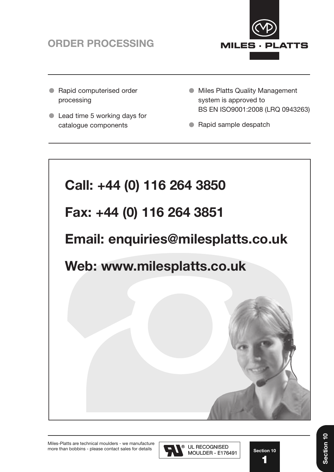



- Rapid computerised order processing
- Lead time 5 working days for catalogue components
- **Miles Platts Quality Management** system is approved to BS EN ISO9001:2008 (LRQ 0943263)
- Rapid sample despatch





**Section 10 1 1**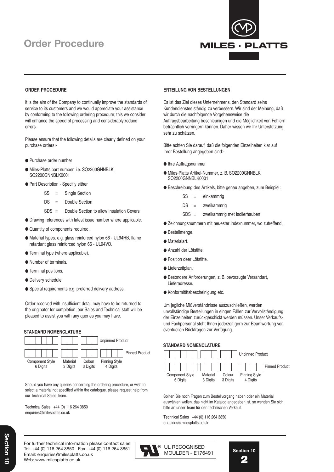# **Order Procedure Order Procedure**



#### **ORDER PROCEDURE**

It is the aim of the Company to continually improve the standards of service to its customers and we would appreciate your assistance by conforming to the following ordering procedure; this we consider will enhance the speed of processing and considerably reduce errors.

Please ensure that the following details are clearly defined on your purchase orders:-

- Purchase order number
- Miles-Platts part number, i.e. SO2200GNNBLK, SO2200GNNBLK0001
- Part Description Specifiy either
	- SS = Single Section
	- DS = Double Section
	- SDS = Double Section to allow Insulation Covers
- Drawing references with latest issue number where applicable.
- $\bullet$  Quantity of components required.
- Material types, e.g. glass reinforced nylon 66 UL94HB, flame retardant glass reinforced nylon 66 - UL94VO.
- **Terminal type (where applicable).**
- Number of terminals.
- **Terminal positions.**
- **O** Delivery schedule.
- Special requirements e.g. preferred delivery address.

Order received with insufficient detail may have to be returned to the originator for completion; our Sales and Technical staff will be pleased to assist you with any queries you may have.

#### **STANDARD NOMENCLATURE**



Should you have any queries concerning the ordering procedure, or wish to select a material not specified within the catalogue, please request help from our Technical Sales Team.

Technical Sales +44 (0) 116 264 3850 enquiries@milesplatts.co.uk

#### **ERTEILUNG VON BESTELLUNGEN**

Es ist das Ziel dieses Unternehmens, den Standard seins Kundendienstes ständig zu verbessern. Wir sind der Meinung, daß wir durch die nachfolgende Vorgehensweise die Auftragsbearbeitung beschleunigen und die Möglichkeit von Fehlern beträchtlich verringern können. Daher wissen wir Ihr Unterstützung sehr zu schätzen.

Bitte achten Sie darauf, daß die folgenden Einzelheiten klar auf Ihrer Bestellung angegeben sind:-

- Ihre Auftragsnummer
- Miles-Platts Artikel-Nummer, z. B. SO2200GNNBLK, SO2200GNNBLK0001
- Beschreibung des Artikels, bitte genau angeben, zum Beispiel:
	- SS = einkammrig
	- DS = zweikammrig
	- SDS = zweikammrig met Isolierhauben
- Zeichnungsnummern mit neuester Indexnummer, wo zutreffend.
- **Bestellmenge.**
- **Materialart.**
- Anzahl der Lötstifte.
- **Position deer Lötstifte.**
- **·** Lieferzeitplan.
- Besondere Anforderungen, z. B. bevorzugte Versandart, Lieferadresse.
- Konformitätsbescheinigung etc.

Um jegliche Mißverständnisse auszuschließen, werden unvollständige Bestellungen in eingen Fällen zur Vervollständigung der Einzelheiten zurückgeschickt werden müssen. Unser Verkaufsund Fachpersonal steht Ihnen jederzeit gern zur Beantwortung von eventuellen Rückfragen zur Verfügung.

### **STANDARD NOMENCLATURE**



Sollten Sie noch Fragen zum Bestellvorgang haben oder ein Material auswählen wollen, das nicht im Katalog angegeben ist, so wenden Sie sich bitte an unser Team für den technischen Verkauf.

Technical Sales +44 (0) 116 264 3850 enquiries@milesplatts.co.uk

For further technical information please contact sales For further technical information please contact sales Tel: +44 (0) 116 264 3850 Fax: +44 (0) 116 264 3851 Tel: +44 (0) 116 262 2593 Fax: +44 (0) 116 253 7889 Email: enquiries@milesplatts.co.uk Web: www.milesplatts.co.uk



**Section 10 Section 10 2 2**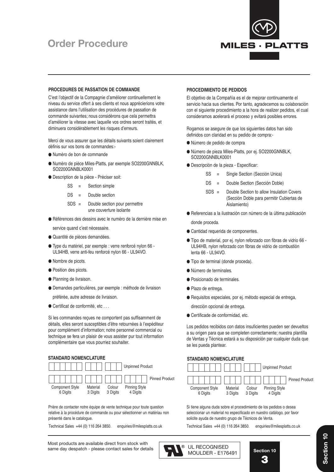# **Order Procedure Order Procedure**



#### **PROCEDURES DE PASSATION DE COMMANDE**

C'est l'objectif de la Compagnie d'améliorer continuellement le niveau du service offert à ses clients et nous apprécierions votre assistance dans l'utilisation des procédures de passation de commande suivantes; nous considérons que cela permettra d'améliorer la vitesse avec laquelle vos ordres seront traités, et diminuera considérablement les risques d'erreurs.

Merci de vous assurer que les détails suivants soient clairement définis sur vos bons de commandes:-

- Numéro de bon de commande
- Numéro de pièce Miles-Platts, par exemple SO2200GNNBLK, SO2200GNNBLK0001
- Description de la pièce Préciser soit:
	- SS = Section simple
	- DS = Double section
	- SDS = Double section pour permettre une couverture isolante
- Références des dessins avec le numéro de la dernière mise en

service quand c'est nécessaire.

- Quantité de pièces demandées.
- Type du matériel, par exemple : verre renforcé nylon 66 UL94HB, verre anti-feu renforcé nylon 66 - UL94VO.
- $\bullet$  Nombre de picots.
- Position des picots.
- Planning de livraison.
- Demandes particulières, par exemple : méthode de livraison préférée, autre adresse de livraison.
- Certificat de conformité, etc . . .

Si les commandes reçues ne comportent pas suffisamment de détails, elles seront susceptibles d'être retournées à l'expéditeur pour complément d'information; notre personnel commercial ou technique se fera un plaisir de vous assister pur tout information complémentaire que vous pourriez souhaiter.

#### **STANDARD NOMENCLATURE**



Prière de contacter notre équipe de vente technique pour toute question relative à la procédure de commande ou pour sélectionner un matériau non présenté dans le catalogue.

Technical Sales +44 (0) 116 264 3850. enquiries@milesplatts.co.uk Technical Sales +44 (0) 116 264 3850. enquiries@milesplatts.co.uk

#### **PROCEDIMIENTO DE PEDIDOS**

El objetivo de la Compañía es el de mejorar continuamente el servicio hacia sus clientes. Por tanto, agradecemos su colaboración con el siguiente procedimiento a la hora de realizer pedidos, el cual consideramos acelerará el proceso y evitará posibles errores.

Rogamos se asegure de que los siguientes datos han sido definidos con claridad en su pedido de compra:-

- Número de pedido de compra
- Número de pieza Miles-Platts, por ej. SO2200GNNBLK, SO2200GNNBLK0001
- Descripción de la pieza Especificar:
	- SS = Single Section (Sección Unica)
	- DS = Double Section (Sección Doble)
	- SDS = Double Section to allow Insulation Covers (Sección Doble para permitir Cubiertas de Aislamiento)
- Referencias a la ilustración con número de la última publicación

donde proceda.

- Cantidad requerida de componentes.
- Tipo de material, por ej. nylon reforzado con fibras de vidrio 66 UL94HB, nylon reforzado con fibras de vidrio de combustión lenta 66 - UL94VO.
- Tipo de terminal (donde proceda).
- Número de terminales.
- Posicionado de terminales.
- Plazo de entrega.
- Requisitos especiales, por ej. método especial de entrega, dirección opcional de entrega.
- Certificade de conformidad, etc.

Los pedidos recibidos con datos insuficientes pueden ser devueltos a su origen para que se completen correctamente; nuestra plantilla de Ventas y Técnica estará a su disposición par cualquier duda que se les pueda plantear.

#### **STANDARD NOMENCLATURE**



Si tiene alguna duda sobre el procedimiento de los pedidos o desea seleccionar un material no especificado en nuestro catálogo, por favor solicite ayuda de nuestro grupo de Técnicos de Venta.





Section 10 **Section 10**Section 10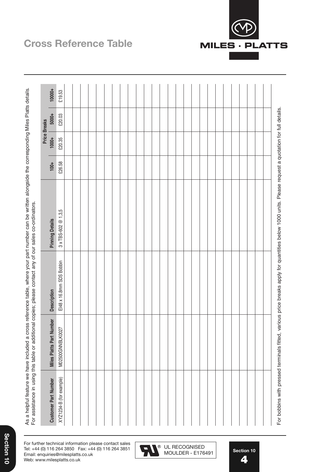As a helpful feature we have included a cross reference table, where your part number can be written alongside the corresponding Miles Platts details.<br>For assistance in using this table or additional copies; please contact As a helpful feature we have included a cross reference table, where your part number can be written alongside the corresponding Miles Platts details. For assistance in using this table or additional copies; please contact any of our sales co-ordinators.

| <b>Customer Part Number</b> | <b>Miles Platts Part Number</b> | <b>Description</b>       | <b>Pinning Details</b>       | $100+$ | $1000+$ | 5000+<br><b>Price Breaks</b> | 10000+ |
|-----------------------------|---------------------------------|--------------------------|------------------------------|--------|---------|------------------------------|--------|
| XYZ1234-B (for example)     | M02500GNNBLK0027                | EI48 x 16.8mm SDS Bobbin | $3 \times TBS-602 \ @ 1,3,5$ | £26.58 | £20.35  | £20.03                       | £19.53 |
|                             |                                 |                          |                              |        |         |                              |        |
|                             |                                 |                          |                              |        |         |                              |        |
|                             |                                 |                          |                              |        |         |                              |        |
|                             |                                 |                          |                              |        |         |                              |        |
|                             |                                 |                          |                              |        |         |                              |        |
|                             |                                 |                          |                              |        |         |                              |        |
|                             |                                 |                          |                              |        |         |                              |        |
|                             |                                 |                          |                              |        |         |                              |        |
|                             |                                 |                          |                              |        |         |                              |        |
|                             |                                 |                          |                              |        |         |                              |        |
|                             |                                 |                          |                              |        |         |                              |        |
|                             |                                 |                          |                              |        |         |                              |        |
|                             |                                 |                          |                              |        |         |                              |        |
|                             |                                 |                          |                              |        |         |                              |        |
|                             |                                 |                          |                              |        |         |                              |        |
|                             |                                 |                          |                              |        |         |                              |        |
|                             |                                 |                          |                              |        |         |                              |        |
|                             |                                 |                          |                              |        |         |                              |        |
|                             |                                 |                          |                              |        |         |                              |        |
|                             |                                 |                          |                              |        |         |                              |        |
|                             |                                 |                          |                              |        |         |                              |        |
|                             |                                 |                          |                              |        |         |                              |        |
|                             |                                 |                          |                              |        |         |                              |        |
|                             |                                 |                          |                              |        |         |                              |        |
|                             |                                 |                          |                              |        |         |                              |        |
|                             |                                 |                          |                              |        |         |                              |        |
|                             |                                 |                          |                              |        |         |                              |        |

# **Cross Reference Table Cross Reference Table**



UL RECOGNISED<br>MOULDER - E176491

For bobbins with pressed terminals fitted, various price breaks apply for quantities below 1000 units. Please request a quotation for full details.

For bobbins with pressed terminals fitted, various price breaks apply for quantities below 1000 units. Please request a quotation for full details.

For further technical information please contact sales with the state is Tel: +44 (0) 116 264 3850 Fax: +44 (0) 116 264 3851  $\bullet$  UL RECOGNISED Email: enquiries@milesplatts.co.uk Web: www.milesplatts.co.uk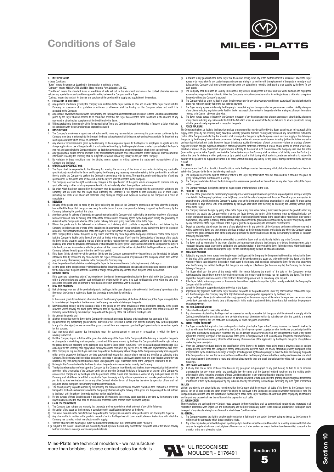# **Conditions of Sale**



### **1. INTERPRETATION**

In these Conditions:<br>"Boyer" means the person as described in the quotation or estimate or order.<br>"Company" means MILES PLATTS LIMITED, Blaby Industrial Park, Leicester, LEB 462.<br>"Company" means MILES PLATTS LIMITED, Blaby

- 
- (a) Any quotation or estimate given by the Company is an invitation to the Buyer to make an offer and no order of the Buyer placed with the<br>Company in pursuance of a quotation or estimate or otherwise shall be
- accepted by the Company.<br>(b) Any contract howscover made between the Company and the Buyer shall incorporate and be subject to these Conditions and receipt of<br>goods by the Buyer shall be deemed to be conclusive proof that
- (c) Without prejudice to the generality of the foregoing all other Terms and Conditions (except those implied in favour of a Seller which are not consistent with these Conditions) are expressly excluded.
- 
- 3. **AASIS OF SALE**<br>
The Company's employees or agents are not authorised to make any representations concerning the goods unless confirmed by the<br>
Company is writing, in entering into the Contract the Buyer acknowledges t
- 
- 
- A. No variation to these conditions shall be binding unless agreed in writing between the authorised representatives of the
- Company and the Buyer. **4. ORDERS AND SPECIFICATIONS**
- 1. The Buyer shall be responsible to the Company for ensuing the accuracy of the terms of any order (including any applicable time becomes pecifications) submitted by the Buyer and for giving the Company any necessary info
- 
- cancellation. **5. DELIVERY**
- 
- 1. Delivery of the goods shall be made by the Buyer collecting the goods at the Company's premises at any time after the Company has notified the Buyer that the goods are ready for collection or if some other place for delivery is agreed by the Company by the Company delivering the goods at that place.<br>
Any dates quoted for delivery of the goods are approximate only and the Company shall not be liable for any delivery of the goods
- 
- 
- 2. Any dates quote for delivery of the goods are approximate only and the Company shall not be liable for any designed by the Company in withing. The goods may be delivered by the Company in advance of the quoted delivery
- Company delivers the said goods within the said 14 day period.<br>If the Buyer fails to take delivery of the goods or fails to give the Company adequate delivery instructions at the time stated for deli (otherwise than by reason for any cause beyond the Buyers reasonable control or by reason of the Company's fault) then without
- prejudice to any other remedy available to the Company the Company may: (a) store the goods until actual delivery and charge the Buyer for the reasonable costs (including insurance) of storage or
- 
- (b) sell the goods at the best price readily obtainable and (after deducting all reasonable storage and selling expenses) account to the Buyer<br>for the excess over the price under the Contract or charge the Buyer for any sh **6. MISSING GOODS**
- If the goods are not virtum 7 working days of the date of the corresponding invoice the Buyer shall notify the Company orally<br>Sare not received within 7 working days of the date of the corresponding invoice the Buyer shall y gous are not received within 7 working days of the date of the corresponding invoice the buyer shall hour!<br>In 3 working days and confirm such notification in writing within 14 days. If no such notification is given i<br>cri
- prescribed the goods shall be deemed to have been delivered in accordance with the Contract. **7. RISK AND PROPERTY** (a) Risk of damage to or loss of the goods shall pass to the Buyer; in the case of goods to be delivered at the Company's premises at the time when the Company notifies the Buyer that the goods are available for collection;
- Or<br>In the case of goods to be delivered otherwise than at the Company's premises, at the time of delivery or, if the Buyer wrongfully fails<br>In take delivery of the goods at the time when the Company has tendered delivery o
- delivered where delivery has taken place otherwise than as specified in Paragraph (a) of the Condition shall remain vested in the<br>Company (notwithstanding the delivery of the goods and the passing of the risk in them to th
- 
- (i) the price of the goods: and<br>(ii) all other money due from the Buyer to the Company in respect of any goods delivered or to bedelivered has been paid in full.<br>(c) If payment for any outstanding goods whether delivered o
- <sub>poso.</sub><br>nents shall become due immediately upon the commencement of any act or proceedings in which the Buyer's
- solvency is involved.<br>(e) Until the Company shall be funded in the Unit of all the goods the relationship of the Buyer to the Company shall be fiduciary in respect of the goods<br>(e) Unit the Company shall have the right to
- A like right for the Company shall apply where the Buyer uses the product in any way so as to be entitled to payment from a third party.<br>It the Company so requires the Buyer shall store the goods for the Company without ch
- Company. The Company shall be entitled to examine the goods in storage at the Buyer's premises or any other location where they are situated at any time during normal business hours upon giving the Buyer reasonable notice of the Company's intention to do so.<br>(g) Nothing in this Clause shall entitle the Buyer to return the goods unless requested so to d
- (h) The rights and remedies conferred upon the Company y this Clause are in addition to and shall not in any way respective timit or remedies of the Company under this or any other Contract. No failure or forbearance on t
- 
- (i) For the purpose of these Conditions and in the absence of evidence to the contrary goods supplied at any time by the Company to the<br>Buyer shall be deemed to have been re-sold used or processed in the order in which the
- 
- 1. The Company does not give any warranty that the goods are free from defects which arise out of any of the following:
- (a) the design of the goods by the Company in compliance with specifications laid down by the Buyer.<br>(b) The use of materials in the manufacture of the goods by the Company in compliance with specifications laid down by th
- (b) The use of materials in the manufacture of the goods by the Company in compliance with specifications laid down by the Buyer: or<br>(c) Any other matter in relation to the goods in respoet of which the Buyer has laid down
- 
- 
- (b) In relation to any goods returned to the Buyer due to a defect arising out of any of the matters referred to in Clause 1 above the Buyer<br>arreas to be responsible for any costs charges and expenses arising in connection agrees to be responsible for any costs charges and expenses arising in connection with the replacement of the goods or remedy of such<br>defect and the Company shall in no circumstances be under any obligation to refund to th
- such goods: (c) The Company shall be under no Liability in respect of any defects arising from fair wear and tear wilful damage and negligence
- 
- aboution and working conditions failure to follow the Company's instructions (whether oral or in writing) misuse or alteration or repair of<br>the goods without the Company's approval<br>(d) The Company shall be under no liabili
- 5. The Buyer hereby agrees to indemnify the Company in respect of any loss damage costs charges expenses or other liability arising out<br>of any claims including any claims under Part II of the Act which arises as a result o with the general safety requirement in respect of the goods.

**FORCE MAJEURE**<br>**FORCE MAJEURE**<br>Company shall not be liable to the Buyer for any loss or damage which may be suffered by the Buyer as a direct or indirect result of the The Company shall not be liable to the Buyer for any loss or damage which may be suffered by the Buyer as a direct or indirect result of the goods by the Company being directly prevented hindered or delayed by reason of an

#### a result. **10. TOOLS**

- .<br>If in pursuance to which these Conditions relate the Buyer supplied the company with tools for the manufacture of items for
- sale by the Company to the Buyer the following shall apply:<br>(a) The Company reserves the right to destroy or return to the Buyer any tools which have not been used for a period of two years on<br>giving the Buyer three months
- written consent.
- :onsent.<br>ipany reserves the right to charge for major repairs or refurbishment to the tools.
- **11. PRICE OF THE GOODS**
- 1. The price of the goods shall be the Company's quoted price or where no price has been quoted (or a quoted price is no longer valid) the<br>price listed in the Company's published price list (if any) current at the date of export from the United Kingdom the Company's quoted price or the Company's published export price list shall apply. All prices quoted<br>are valid for 28 days only or until prior acceptance by the Buyer after which time they
- notice to the Buyer.<br>The Company reserves the right by giving notice to the Buyer at any time before delivery to increase the price of the goods to reflect any<br>increase in the cost to the Company which is due to any factor
- 
- 4. The price is exclusive of any applicable value added tax which the Buyer shall be additionally liable to pay to the Company.
- 5. The Buyer shall be responsible for the return of pallets and returnable containers to the Company on or before the due payment date in<br>respect of delivered goods to which the said pallets and containers relate. In the e

#### **12. TERMS OF PAYMENT**

- **1. EKMS OF PATMENI**<br>Subject to any special terms agreed in writing between the Buyer and the Company the Company shall be entitled to invoice the Buyer for the price of the goods on or at any time after delivery of the goods unless the goods are to be collected by the Buyer or the Buyer<br>wrongfully fails to take delivery of the goods in which event the Company shall be ent
- delivery of the goods.<br>
2. The Buyer shall pay the price of the goods within the month following the month of the date of the Company's invoice<br>
1. The Buyer shall pay the price of the goods within the month following the
- 
- 
- (a) cancel the Contract or suspend any further deliveries to the Buyer;<br>(b) appropriate any payments made by the Buyer to such of the goods (or the goods supplied under any other Contract between the Buyer<br>(c) and the Comp
	- calculating interest). **13. COLOUR AND DIMENSIONS**

- 
- 1. Colour shall be subject to reasonable variation.<br>2. Any dimensions stipulated by the Buyer shall be observed as nearly as possible but the goods shall be deemed to comply with the<br>Contract notwithstanding any alteration extent having regard to any use notified to the Company for which the goods are intended. **14. INTELLECTUAL PROPERTY**

- 1. The Buyer warrants that any instructions or designs furnished or given by the Buyer to the Company in connection herewith shall not be such as will cause the Company in performing the Contract to infringe any patent copyright or other intellectual property right and the<br>Buyer shall indemnify the Company in respect of any loss or damage whatsoever arising use of the goods into any country other than their country of manufacture of the application by the Buyer to the goods of any false or<br>misleading trade description.<br>When the Company produces tools to the specification of t
- misleading trade description. 2. When the Company produces tools to the specification of the Buyer or to designs made using models drawings ideas or designs supplied by the Buyer then the Company is hereby licensed by the Buyer to make use of any intellectual property comprised within<br>or represented by the said models drawings or designs (including patent rights and copy right

#### mouldings. **15. SEVERANCE AND WAIVER**

- (a) If at any time one or more of these Conditions (or any paragraph sub-paragraph or any part thereof) be held to be or becomes unenforceable for any reason under any applicable law the same shall be deemed omitted herefrom and the validity and/or<br>enforceability of the remaining provisions of these Conditions shall not in any way be affected or imp
- or extension of time by the Company nor by any failure or delay by the Company in asserting or exercising any such rights or remedies. **16. LIEN**

Without prejudice to any other rights and remedies which the Company shall in respect of all debts of the Buyer to the Company have a general lien on all tools goods and other property belonging to the Buyer in the Company's possession (whether worked on or not). The<br>Company shall be entitled upon the expiration of fourteen day's notice to the Buyer to d and to apply any proceeds of sale thereof towards the payment of such debts.

and **UNITY of the United States and States and States and States and States and States and Conditions and professor<br>17. JURISDICTION<br>These Conditions and each and eveny Contract made nursuant to these Conditions shall be o** These Conditions and each and every Contract made pursuant to these Conditions shall be governed and construed and interpreted in all<br>respects in accordance with English law and the Company and the Buyer irrevocably submit

- 
- **18. GENERAL**<br>1. The Company reserves the right to employ a sub-contractor in fulfilment of any part of the work being performed by the Company for<br>1. The Company reserves the right to employ a sub-contractor in fulfilment
- 

**Section 10 5**

Miles-Platts are technical moulders - we manufacture more than bobbins - please contact sales for details UL RECOGNISED

MOULDER - E176491



**Section 10**

Section 10